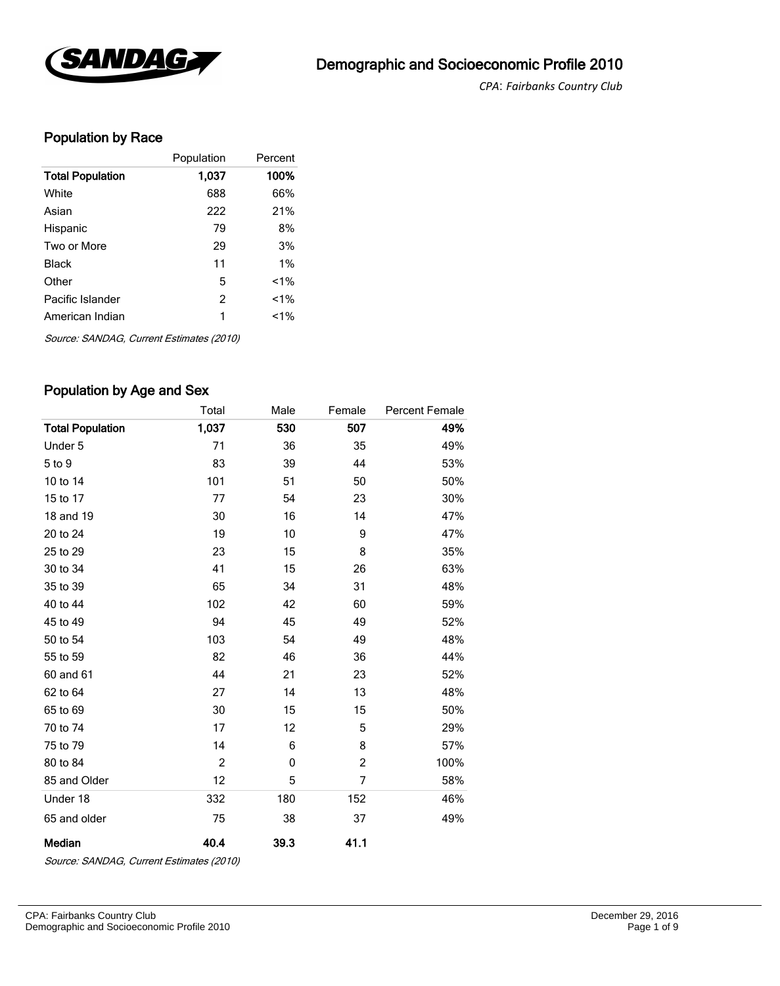

*CPA*: *Fairbanks Country Club* 

## Population by Race

|                         | Population     | Percent |
|-------------------------|----------------|---------|
| <b>Total Population</b> | 1.037          | 100%    |
| White                   | 688            | 66%     |
| Asian                   | 222            | 21%     |
| Hispanic                | 79             | 8%      |
| Two or More             | 29             | 3%      |
| Black                   | 11             | $1\%$   |
| Other                   | 5              | $1\%$   |
| Pacific Islander        | $\overline{2}$ | $1\%$   |
| American Indian         | 1              | $1\%$   |

Source: SANDAG, Current Estimates (2010)

#### Population by Age and Sex

|                         | Total          | Male | Female         | <b>Percent Female</b> |
|-------------------------|----------------|------|----------------|-----------------------|
| <b>Total Population</b> | 1,037          | 530  | 507            | 49%                   |
| Under 5                 | 71             | 36   | 35             | 49%                   |
| 5 to 9                  | 83             | 39   | 44             | 53%                   |
| 10 to 14                | 101            | 51   | 50             | 50%                   |
| 15 to 17                | 77             | 54   | 23             | 30%                   |
| 18 and 19               | 30             | 16   | 14             | 47%                   |
| 20 to 24                | 19             | 10   | 9              | 47%                   |
| 25 to 29                | 23             | 15   | 8              | 35%                   |
| 30 to 34                | 41             | 15   | 26             | 63%                   |
| 35 to 39                | 65             | 34   | 31             | 48%                   |
| 40 to 44                | 102            | 42   | 60             | 59%                   |
| 45 to 49                | 94             | 45   | 49             | 52%                   |
| 50 to 54                | 103            | 54   | 49             | 48%                   |
| 55 to 59                | 82             | 46   | 36             | 44%                   |
| 60 and 61               | 44             | 21   | 23             | 52%                   |
| 62 to 64                | 27             | 14   | 13             | 48%                   |
| 65 to 69                | 30             | 15   | 15             | 50%                   |
| 70 to 74                | 17             | 12   | 5              | 29%                   |
| 75 to 79                | 14             | 6    | 8              | 57%                   |
| 80 to 84                | $\overline{c}$ | 0    | $\overline{c}$ | 100%                  |
| 85 and Older            | 12             | 5    | 7              | 58%                   |
| Under 18                | 332            | 180  | 152            | 46%                   |
| 65 and older            | 75             | 38   | 37             | 49%                   |
| Median                  | 40.4           | 39.3 | 41.1           |                       |

Source: SANDAG, Current Estimates (2010)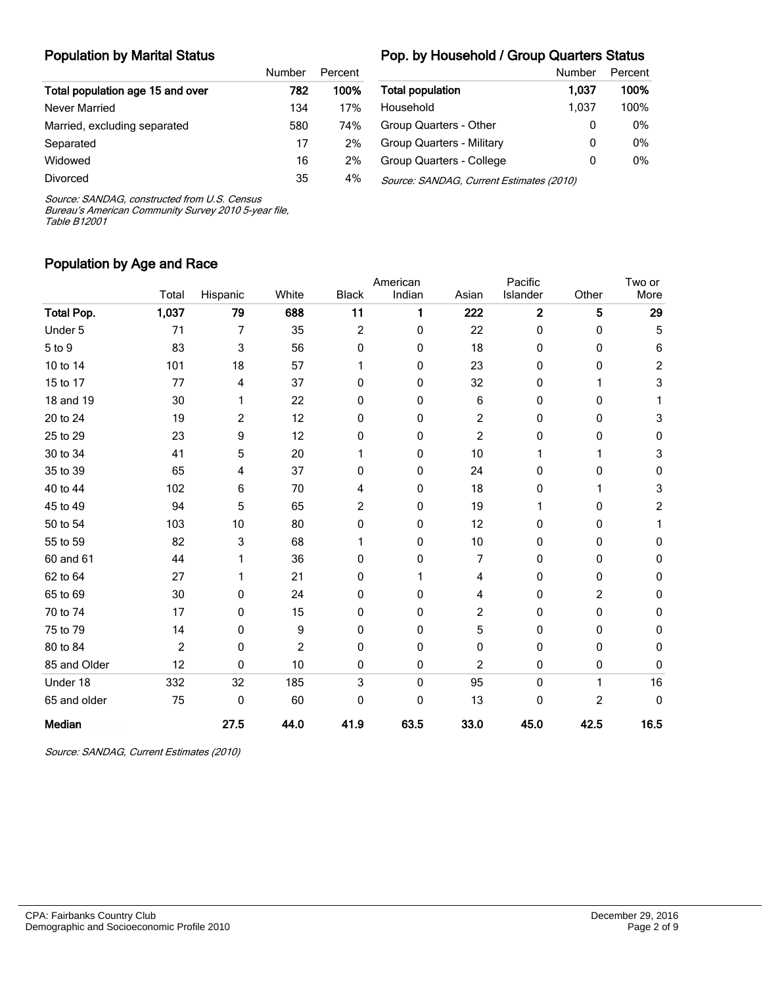#### Population by Marital Status

#### Pop. by Household / Group Quarters Status

|                                  | Number | Percent |                                          | Number | Percent |
|----------------------------------|--------|---------|------------------------------------------|--------|---------|
| Total population age 15 and over | 782    | 100%    | Total population                         | 1.037  | 100%    |
| Never Married                    | 134    | 17%     | Household                                | 1.037  | 100%    |
| Married, excluding separated     | 580    | 74%     | Group Quarters - Other                   | 0      | 0%      |
| Separated                        | 17     | 2%      | <b>Group Quarters - Military</b>         | 0      | 0%      |
| Widowed                          | 16     | 2%      | Group Quarters - College                 | 0      | 0%      |
| <b>Divorced</b>                  | 35     | 4%      | Source: SANDAG, Current Estimates (2010) |        |         |

Source: SANDAG, constructed from U.S. Census

Bureau's American Community Survey 2010 5-year file, Table B12001

#### Population by Age and Race

|                   |       |            |                |                         | American |                         | Pacific                 |       | Two or         |
|-------------------|-------|------------|----------------|-------------------------|----------|-------------------------|-------------------------|-------|----------------|
|                   | Total | Hispanic   | White          | <b>Black</b>            | Indian   | Asian                   | Islander                | Other | More           |
| <b>Total Pop.</b> | 1,037 | 79         | 688            | 11                      | 1        | 222                     | $\overline{\mathbf{2}}$ | 5     | 29             |
| Under 5           | 71    | 7          | 35             | $\overline{\mathbf{c}}$ | 0        | 22                      | 0                       | 0     | 5              |
| 5 to 9            | 83    | 3          | 56             | 0                       | 0        | 18                      | 0                       | 0     | 6              |
| 10 to 14          | 101   | 18         | 57             | 1                       | 0        | 23                      | 0                       | 0     | $\overline{c}$ |
| 15 to 17          | 77    | 4          | 37             | 0                       | 0        | 32                      | 0                       | 1     | 3              |
| 18 and 19         | 30    | 1          | 22             | 0                       | 0        | 6                       | 0                       | 0     |                |
| 20 to 24          | 19    | 2          | 12             | 0                       | 0        | $\overline{c}$          | 0                       | 0     | 3              |
| 25 to 29          | 23    | 9          | 12             | 0                       | 0        | $\overline{\mathbf{c}}$ | 0                       | 0     | 0              |
| 30 to 34          | 41    | 5          | 20             | 1                       | 0        | 10                      |                         |       | 3              |
| 35 to 39          | 65    | 4          | 37             | 0                       | 0        | 24                      | 0                       | 0     | 0              |
| 40 to 44          | 102   | 6          | 70             | 4                       | 0        | 18                      | 0                       | 1     | 3              |
| 45 to 49          | 94    | 5          | 65             | 2                       | 0        | 19                      |                         | 0     | $\overline{c}$ |
| 50 to 54          | 103   | 10         | 80             | 0                       | 0        | 12                      | 0                       | 0     |                |
| 55 to 59          | 82    | $\sqrt{3}$ | 68             | 1                       | 0        | 10                      | 0                       | 0     | 0              |
| 60 and 61         | 44    | 1          | 36             | 0                       | 0        | 7                       | 0                       | 0     | 0              |
| 62 to 64          | 27    |            | 21             | 0                       | 1        | 4                       | 0                       | 0     | 0              |
| 65 to 69          | 30    | 0          | 24             | 0                       | 0        | 4                       | 0                       | 2     | 0              |
| 70 to 74          | 17    | 0          | 15             | 0                       | 0        | 2                       | 0                       | 0     | 0              |
| 75 to 79          | 14    | 0          | 9              | 0                       | 0        | 5                       | 0                       | 0     | 0              |
| 80 to 84          | 2     | 0          | $\overline{c}$ | 0                       | 0        | 0                       | 0                       | 0     | 0              |
| 85 and Older      | 12    | 0          | 10             | 0                       | 0        | 2                       | 0                       | 0     | 0              |
| Under 18          | 332   | 32         | 185            | 3                       | 0        | 95                      | 0                       | 1     | 16             |
| 65 and older      | 75    | 0          | 60             | 0                       | 0        | 13                      | 0                       | 2     | $\mathbf 0$    |
| Median            |       | 27.5       | 44.0           | 41.9                    | 63.5     | 33.0                    | 45.0                    | 42.5  | 16.5           |

Source: SANDAG, Current Estimates (2010)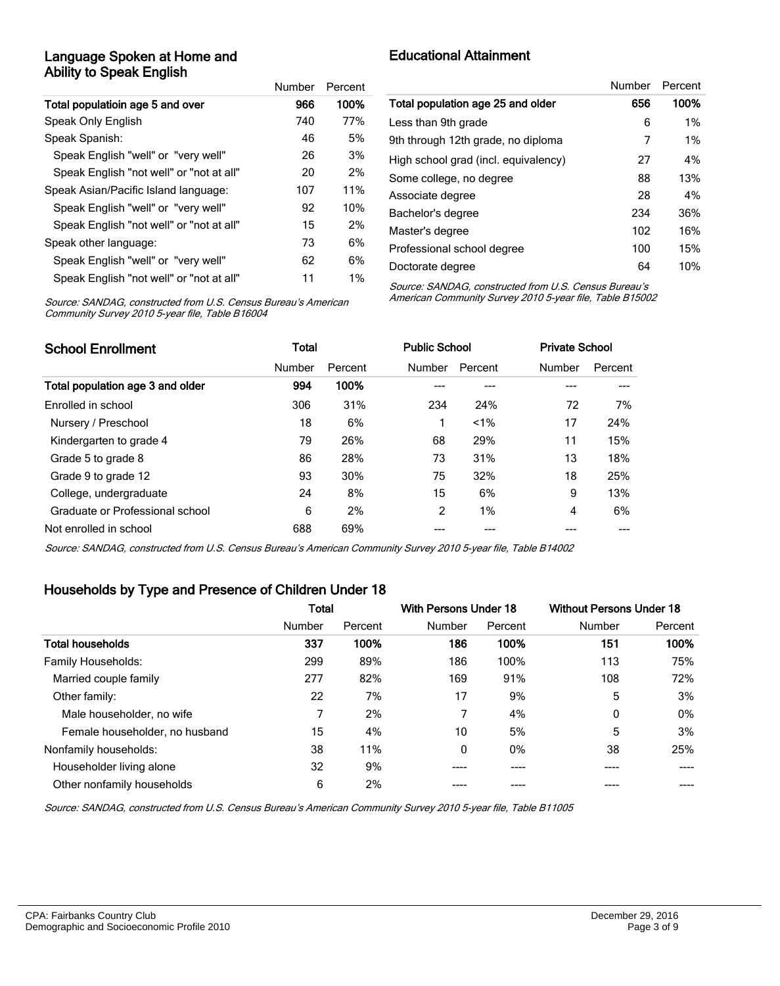#### Language Spoken at Home and Ability to Speak English

|                                          | Number | Percent |
|------------------------------------------|--------|---------|
| Total populatioin age 5 and over         | 966    | 100%    |
| Speak Only English                       | 740    | 77%     |
| Speak Spanish:                           | 46     | 5%      |
| Speak English "well" or "very well"      | 26     | 3%      |
| Speak English "not well" or "not at all" | 20     | 2%      |
| Speak Asian/Pacific Island language:     | 107    | 11%     |
| Speak English "well" or "very well"      | 92     | 10%     |
| Speak English "not well" or "not at all" | 15     | 2%      |
| Speak other language:                    | 73     | 6%      |
| Speak English "well" or "very well"      | 62     | 6%      |
| Speak English "not well" or "not at all" | 11     | 1%      |

Educational Attainment

|                                      | Number | Percent |
|--------------------------------------|--------|---------|
| Total population age 25 and older    | 656    | 100%    |
| Less than 9th grade                  | 6      | 1%      |
| 9th through 12th grade, no diploma   | 7      | 1%      |
| High school grad (incl. equivalency) | 27     | 4%      |
| Some college, no degree              | 88     | 13%     |
| Associate degree                     | 28     | 4%      |
| Bachelor's degree                    | 234    | 36%     |
| Master's degree                      | 102    | 16%     |
| Professional school degree           | 100    | 15%     |
| Doctorate degree                     | 64     | 10%     |

Source: SANDAG, constructed from U.S. Census Bureau's American Community Survey 2010 5-year file, Table B16004

Source: SANDAG, constructed from U.S. Census Bureau's American Community Survey 2010 5-year file, Table B15002

| <b>School Enrollment</b>         | Total  |         |               | <b>Public School</b> | <b>Private School</b> |         |
|----------------------------------|--------|---------|---------------|----------------------|-----------------------|---------|
|                                  | Number | Percent | <b>Number</b> | Percent              | Number                | Percent |
| Total population age 3 and older | 994    | 100%    |               |                      |                       |         |
| Enrolled in school               | 306    | 31%     | 234           | 24%                  | 72                    | 7%      |
| Nursery / Preschool              | 18     | 6%      |               | $1\%$                | 17                    | 24%     |
| Kindergarten to grade 4          | 79     | 26%     | 68            | 29%                  | 11                    | 15%     |
| Grade 5 to grade 8               | 86     | 28%     | 73            | 31%                  | 13                    | 18%     |
| Grade 9 to grade 12              | 93     | 30%     | 75            | 32%                  | 18                    | 25%     |
| College, undergraduate           | 24     | 8%      | 15            | 6%                   | 9                     | 13%     |
| Graduate or Professional school  | 6      | 2%      | 2             | 1%                   | 4                     | 6%      |
| Not enrolled in school           | 688    | 69%     |               |                      |                       |         |

Source: SANDAG, constructed from U.S. Census Bureau's American Community Survey 2010 5-year file, Table B14002

#### Households by Type and Presence of Children Under 18

|                                | Total  |         | With Persons Under 18 |         | <b>Without Persons Under 18</b> |         |
|--------------------------------|--------|---------|-----------------------|---------|---------------------------------|---------|
|                                | Number | Percent | Number                | Percent | Number                          | Percent |
| <b>Total households</b>        | 337    | 100%    | 186                   | 100%    | 151                             | 100%    |
| Family Households:             | 299    | 89%     | 186                   | 100%    | 113                             | 75%     |
| Married couple family          | 277    | 82%     | 169                   | 91%     | 108                             | 72%     |
| Other family:                  | 22     | 7%      | 17                    | 9%      | 5                               | 3%      |
| Male householder, no wife      |        | 2%      | 7                     | 4%      | 0                               | 0%      |
| Female householder, no husband | 15     | 4%      | 10                    | 5%      | 5                               | 3%      |
| Nonfamily households:          | 38     | 11%     | 0                     | $0\%$   | 38                              | 25%     |
| Householder living alone       | 32     | 9%      | ----                  |         |                                 |         |
| Other nonfamily households     | 6      | 2%      |                       |         |                                 |         |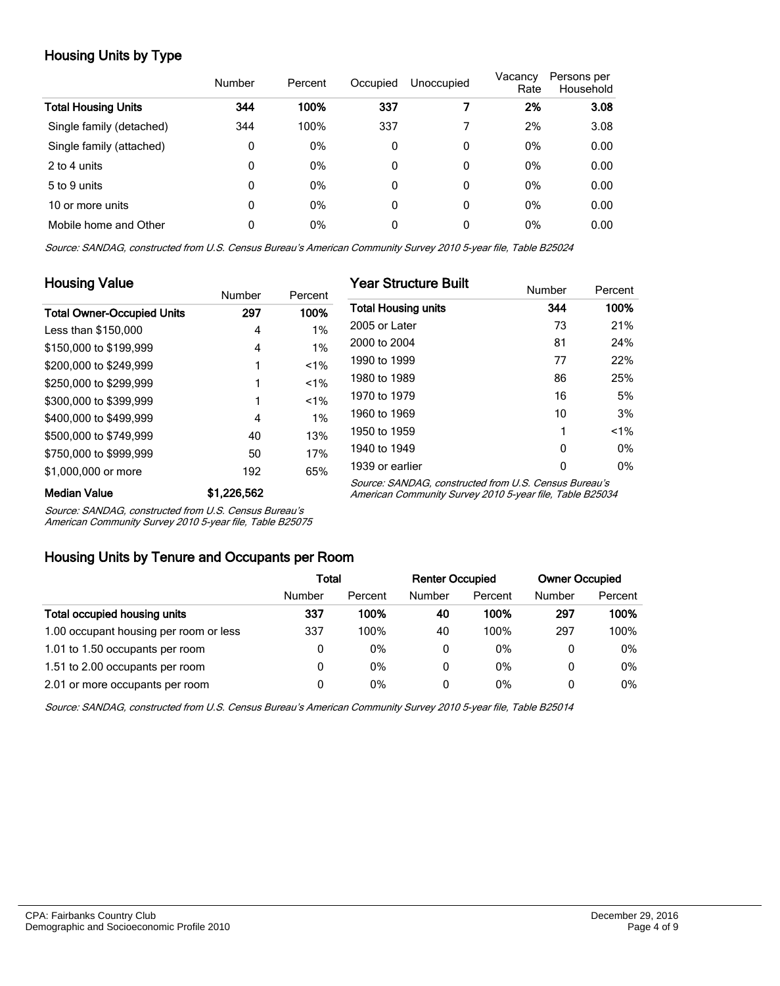## Housing Units by Type

|                          | Number | Percent | Occupied | Unoccupied | Vacancy<br>Rate | Persons per<br>Household |
|--------------------------|--------|---------|----------|------------|-----------------|--------------------------|
| Total Housing Units      | 344    | 100%    | 337      |            | 2%              | 3.08                     |
| Single family (detached) | 344    | 100%    | 337      |            | 2%              | 3.08                     |
| Single family (attached) | 0      | 0%      | 0        | 0          | 0%              | 0.00                     |
| 2 to 4 units             | 0      | 0%      | 0        | 0          | 0%              | 0.00                     |
| 5 to 9 units             | 0      | 0%      | 0        | 0          | 0%              | 0.00                     |
| 10 or more units         | 0      | 0%      | 0        | 0          | 0%              | 0.00                     |
| Mobile home and Other    | 0      | 0%      | 0        | 0          | 0%              | 0.00                     |

Source: SANDAG, constructed from U.S. Census Bureau's American Community Survey 2010 5-year file, Table B25024

| <b>Housing Value</b>              |               |         | <b>Year Structure Built</b>                                                                                       |        |         |  |  |
|-----------------------------------|---------------|---------|-------------------------------------------------------------------------------------------------------------------|--------|---------|--|--|
|                                   | <b>Number</b> | Percent |                                                                                                                   | Number | Percent |  |  |
| <b>Total Owner-Occupied Units</b> | 297           | 100%    | <b>Total Housing units</b>                                                                                        | 344    | 100%    |  |  |
| Less than \$150,000               | 4             | 1%      | 2005 or Later                                                                                                     | 73     | 21%     |  |  |
| \$150,000 to \$199,999            | 4             | 1%      | 2000 to 2004                                                                                                      | 81     | 24%     |  |  |
| \$200,000 to \$249.999            |               | $1\%$   | 1990 to 1999                                                                                                      | 77     | 22%     |  |  |
| \$250,000 to \$299,999            |               | $1\%$   | 1980 to 1989                                                                                                      | 86     | 25%     |  |  |
| \$300,000 to \$399.999            |               | $1\%$   | 1970 to 1979                                                                                                      | 16     | 5%      |  |  |
| \$400,000 to \$499.999            | 4             | 1%      | 1960 to 1969                                                                                                      | 10     | 3%      |  |  |
| \$500,000 to \$749,999            | 40            | 13%     | 1950 to 1959                                                                                                      |        | $1\%$   |  |  |
| \$750,000 to \$999,999            | 50            | 17%     | 1940 to 1949                                                                                                      | 0      | $0\%$   |  |  |
| \$1,000,000 or more               | 192           | 65%     | 1939 or earlier                                                                                                   | 0      | $0\%$   |  |  |
| <b>Median Value</b>               | \$1,226,562   |         | Source: SANDAG, constructed from U.S. Census Bureau's<br>American Community Survey 2010 5-year file, Table B25034 |        |         |  |  |

Median Value \$1,226,562

Source: SANDAG, constructed from U.S. Census Bureau's

American Community Survey 2010 5-year file, Table B25075

#### Housing Units by Tenure and Occupants per Room

|                                        | Total  |         | <b>Renter Occupied</b> |         | <b>Owner Occupied</b> |         |
|----------------------------------------|--------|---------|------------------------|---------|-----------------------|---------|
|                                        | Number | Percent | Number                 | Percent | Number                | Percent |
| Total occupied housing units           | 337    | 100%    | 40                     | 100%    | 297                   | 100%    |
| 1.00 occupant housing per room or less | 337    | 100%    | 40                     | 100%    | 297                   | 100%    |
| 1.01 to 1.50 occupants per room        | 0      | 0%      | 0                      | 0%      | 0                     | $0\%$   |
| 1.51 to 2.00 occupants per room        | 0      | 0%      | 0                      | 0%      | 0                     | $0\%$   |
| 2.01 or more occupants per room        | 0      | 0%      | 0                      | 0%      | 0                     | $0\%$   |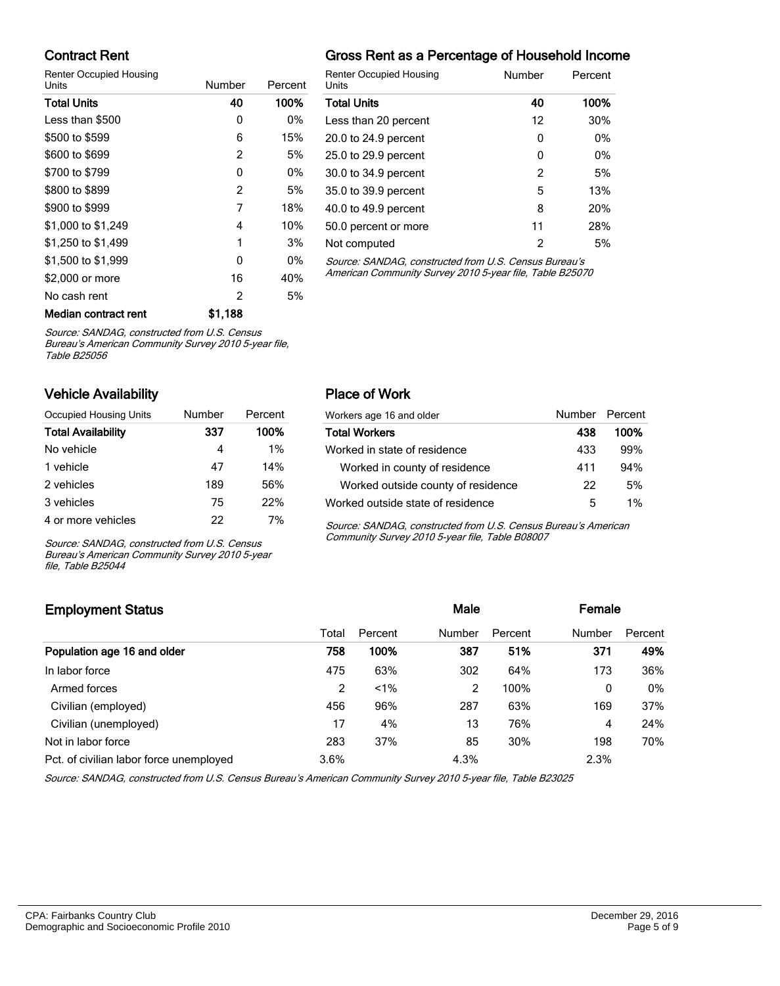#### Contract Rent

Renter Occupied Housing

| Units                | Number  | Percent |                          |
|----------------------|---------|---------|--------------------------|
| <b>Total Units</b>   | 40      | 100%    |                          |
| Less than \$500      | 0       | $0\%$   | L                        |
| \$500 to \$599       | 6       | 15%     | í                        |
| \$600 to \$699       | 2       | 5%      | $\overline{\phantom{a}}$ |
| \$700 to \$799       | 0       | $0\%$   | Ć                        |
| \$800 to \$899       | 2       | 5%      | ă                        |
| \$900 to \$999       | 7       | 18%     | $\overline{\phantom{a}}$ |
| \$1,000 to \$1,249   | 4       | 10%     | ξ                        |
| \$1,250 to \$1,499   | 1       | 3%      | ľ                        |
| \$1,500 to \$1,999   | 0       | $0\%$   |                          |
| \$2,000 or more      | 16      | 40%     | I                        |
| No cash rent         | 2       | 5%      |                          |
| Median contract rent | \$1,188 |         |                          |

## Gross Rent as a Percentage of Household Income

| <b>Renter Occupied Housing</b><br>Units               | Number | Percent |
|-------------------------------------------------------|--------|---------|
| <b>Total Units</b>                                    | 40     | 100%    |
| Less than 20 percent                                  | 12     | 30%     |
| 20.0 to 24.9 percent                                  | 0      | $0\%$   |
| 25.0 to 29.9 percent                                  | 0      | $0\%$   |
| 30.0 to 34.9 percent                                  | 2      | 5%      |
| 35.0 to 39.9 percent                                  | 5      | 13%     |
| 40.0 to 49.9 percent                                  | 8      | 20%     |
| 50.0 percent or more                                  | 11     | 28%     |
| Not computed                                          | 2      | 5%      |
| Source: SANDAG, constructed from LLS, Census Bureau's |        |         |

Source: SANDAG, constructed from U.S. Cens American Community Survey 2010 5-year file, Table B25070

Source: SANDAG, constructed from U.S. Census

Bureau's American Community Survey 2010 5-year file, Table B25056

#### Vehicle Availability

| Occupied Housing Units    | Number | Percent |
|---------------------------|--------|---------|
| <b>Total Availability</b> | 337    | 100%    |
| No vehicle                | 4      | 1%      |
| 1 vehicle                 | 47     | 14%     |
| 2 vehicles                | 189    | 56%     |
| 3 vehicles                | 75     | 22%     |
| 4 or more vehicles        | 22     | 7%      |

Source: SANDAG, constructed from U.S. Census Bureau's American Community Survey 2010 5-year file, Table B25044

#### Place of Work

| Workers age 16 and older           | Number Percent |      |
|------------------------------------|----------------|------|
| <b>Total Workers</b>               | 438            | 100% |
| Worked in state of residence       | 433            | 99%  |
| Worked in county of residence      | 411            | 94%  |
| Worked outside county of residence | 22             | 5%   |
| Worked outside state of residence  | 5              | 1%   |

Source: SANDAG, constructed from U.S. Census Bureau's American Community Survey 2010 5-year file, Table B08007

## Employment Status **Employment Status Male Employment Status Male Employment Status Male Employment Status** Total Percent Number Percent Number Percent Population age 16 and older 1988 100% 387 51% 371 49% In labor force 475 63% 302 64% 173 36% Armed forces 2 2 2 2 2 2 2 2 2 2 2 2 100% 0 0 0% Civilian (employed) 456 96% 287 63% 169 37% Civilian (unemployed) 17 4% 13 76% 4 24% Not in labor force **283** 37% 85 30% 198 70% Pct. of civilian labor force unemployed 3.6% 4.3% 4.3% 2.3%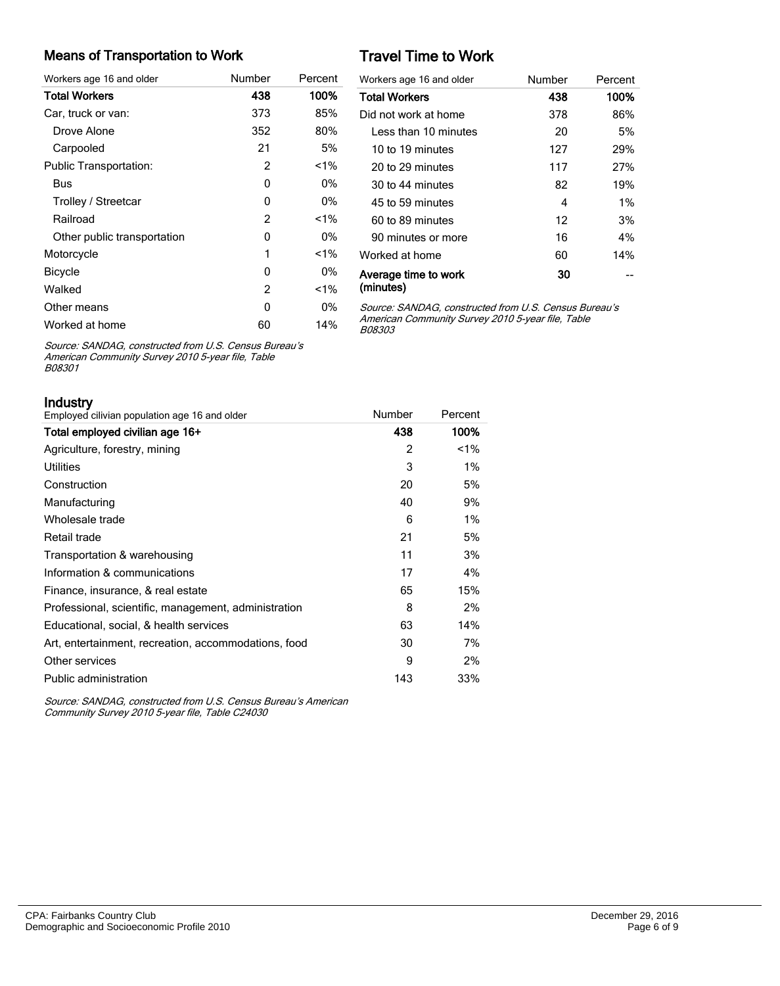#### Means of Transportation to Work

| Workers age 16 and older      | Number | Percent |
|-------------------------------|--------|---------|
| <b>Total Workers</b>          | 438    | 100%    |
| Car, truck or van:            | 373    | 85%     |
| Drove Alone                   | 352    | 80%     |
| Carpooled                     | 21     | 5%      |
| <b>Public Transportation:</b> | 2      | $1\%$   |
| Bus                           | 0      | 0%      |
| Trolley / Streetcar           | 0      | 0%      |
| Railroad                      | 2      | $< 1\%$ |
| Other public transportation   | 0      | 0%      |
| Motorcycle                    | 1      | $< 1\%$ |
| <b>Bicycle</b>                | 0      | 0%      |
| Walked                        | 2      | $< 1\%$ |
| Other means                   | 0      | 0%      |
| Worked at home                | 60     | 14%     |

# Travel Time to Work

| Workers age 16 and older          | Number | Percent |
|-----------------------------------|--------|---------|
| <b>Total Workers</b>              | 438    | 100%    |
| Did not work at home              | 378    | 86%     |
| I ess than 10 minutes             | 20     | 5%      |
| 10 to 19 minutes                  | 127    | 29%     |
| 20 to 29 minutes                  | 117    | 27%     |
| 30 to 44 minutes                  | 82     | 19%     |
| 45 to 59 minutes                  | 4      | $1\%$   |
| 60 to 89 minutes                  | 12     | 3%      |
| 90 minutes or more                | 16     | 4%      |
| Worked at home                    | 60     | 14%     |
| Average time to work<br>(minutes) | 30     |         |

Source: SANDAG, constructed from U.S. Census Bureau's American Community Survey 2010 5-year file, Table B08303

Source: SANDAG, constructed from U.S. Census Bureau's American Community Survey 2010 5-year file, Table B08301

Industry

|     | Percent |
|-----|---------|
| 438 | 100%    |
| 2   | $1\%$   |
| 3   | 1%      |
| 20  | 5%      |
| 40  | 9%      |
| 6   | $1\%$   |
| 21  | 5%      |
| 11  | 3%      |
| 17  | 4%      |
| 65  | 15%     |
| 8   | 2%      |
| 63  | 14%     |
| 30  | 7%      |
| 9   | 2%      |
| 143 | 33%     |
|     | Number  |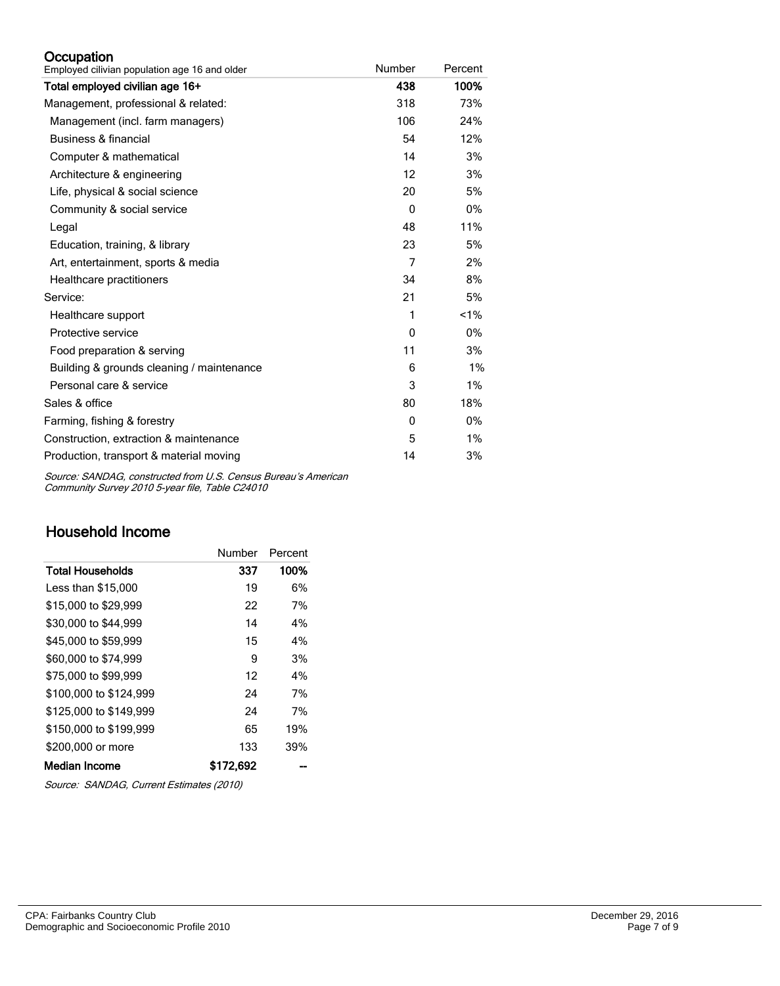#### **Occupation**

| Employed cilivian population age 16 and older | Number      | Percent |
|-----------------------------------------------|-------------|---------|
| Total employed civilian age 16+               | 438         | 100%    |
| Management, professional & related:           | 318         | 73%     |
| Management (incl. farm managers)              | 106         | 24%     |
| Business & financial                          | 54          | 12%     |
| Computer & mathematical                       | 14          | 3%      |
| Architecture & engineering                    | 12          | 3%      |
| Life, physical & social science               | 20          | 5%      |
| Community & social service                    | $\Omega$    | $0\%$   |
| Legal                                         | 48          | 11%     |
| Education, training, & library                | 23          | 5%      |
| Art, entertainment, sports & media            | 7           | 2%      |
| Healthcare practitioners                      | 34          | 8%      |
| Service:                                      | 21          | 5%      |
| Healthcare support                            | 1           | 1%      |
| Protective service                            | $\mathbf 0$ | 0%      |
| Food preparation & serving                    | 11          | 3%      |
| Building & grounds cleaning / maintenance     | 6           | 1%      |
| Personal care & service                       | 3           | 1%      |
| Sales & office                                | 80          | 18%     |
| Farming, fishing & forestry                   | $\Omega$    | 0%      |
| Construction, extraction & maintenance        | 5           | 1%      |
| Production, transport & material moving       | 14          | 3%      |

Source: SANDAG, constructed from U.S. Census Bureau's American Community Survey 2010 5-year file, Table C24010

## Household Income

|                        | Number    | Percent |
|------------------------|-----------|---------|
| Total Households       | 337       | 100%    |
| Less than \$15,000     | 19        | 6%      |
| \$15,000 to \$29.999   | 22        | 7%      |
| \$30,000 to \$44,999   | 14        | 4%      |
| \$45,000 to \$59,999   | 15        | 4%      |
| \$60,000 to \$74,999   | 9         | 3%      |
| \$75,000 to \$99,999   | 12        | 4%      |
| \$100,000 to \$124.999 | 24        | 7%      |
| \$125,000 to \$149.999 | 24        | 7%      |
| \$150,000 to \$199,999 | 65        | 19%     |
| \$200,000 or more      | 133       | 39%     |
| Median Income          | \$172,692 |         |

Source: SANDAG, Current Estimates (2010)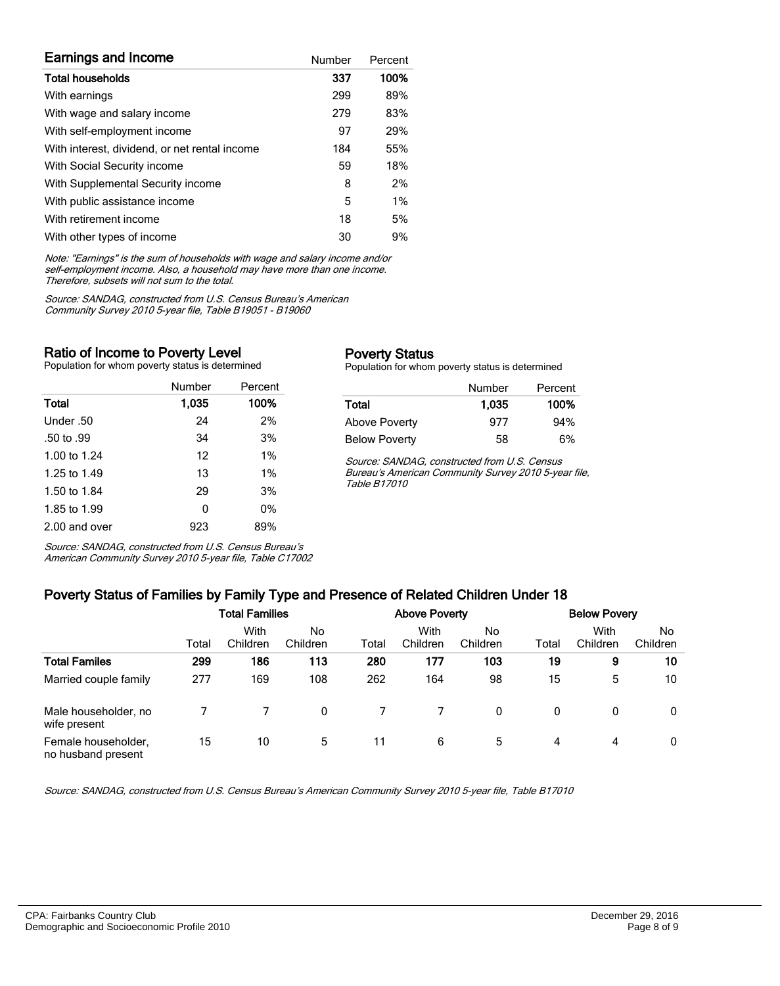| <b>Earnings and Income</b>                    | Number | Percent |
|-----------------------------------------------|--------|---------|
| <b>Total households</b>                       | 337    | 100%    |
| With earnings                                 | 299    | 89%     |
| With wage and salary income                   | 279    | 83%     |
| With self-employment income                   | 97     | 29%     |
| With interest, dividend, or net rental income | 184    | 55%     |
| With Social Security income                   | 59     | 18%     |
| With Supplemental Security income             | 8      | 2%      |
| With public assistance income                 | 5      | 1%      |
| With retirement income                        | 18     | 5%      |
| With other types of income                    | 30     | 9%      |

Note: "Earnings" is the sum of households with wage and salary income and/or self-employment income. Also, a household may have more than one income. Therefore, subsets will not sum to the total.

Source: SANDAG, constructed from U.S. Census Bureau's American Community Survey 2010 5-year file, Table B19051 - B19060

#### Ratio of Income to Poverty Level

Population for whom poverty status is determined

|               | Number | Percent |
|---------------|--------|---------|
| Total         | 1.035  | 100%    |
| Under 50      | 24     | 2%      |
| .50 to .99    | 34     | 3%      |
| 1.00 to 1.24  | 12     | 1%      |
| 1.25 to 1.49  | 13     | 1%      |
| 1.50 to 1.84  | 29     | 3%      |
| 1.85 to 1.99  | 0      | 0%      |
| 2.00 and over | 923    | 89%     |

Source: SANDAG, constructed from U.S. Census Bureau's American Community Survey 2010 5-year file, Table C17002

#### Poverty Status

Population for whom poverty status is determined

|                      | Number | Percent |
|----------------------|--------|---------|
| Total                | 1,035  | 100%    |
| Above Poverty        | 977    | 94%     |
| <b>Below Poverty</b> | 58     | 6%      |

Source: SANDAG, constructed from U.S. Census Bureau's American Community Survey 2010 5-year file, Table B17010

# Poverty Status of Families by Family Type and Presence of Related Children Under 18

| . .                                       |                       |                  | . .            |       |                      |                |       |                     |                       |  |
|-------------------------------------------|-----------------------|------------------|----------------|-------|----------------------|----------------|-------|---------------------|-----------------------|--|
|                                           | <b>Total Families</b> |                  |                |       | <b>Above Poverty</b> |                |       | <b>Below Povery</b> |                       |  |
|                                           | Total                 | With<br>Children | No<br>Children | Total | With<br>Children     | No<br>Children | Total | With<br>Children    | <b>No</b><br>Children |  |
| <b>Total Familes</b>                      | 299                   | 186              | 113            | 280   | 177                  | 103            | 19    | 9                   | 10                    |  |
| Married couple family                     | 277                   | 169              | 108            | 262   | 164                  | 98             | 15    | 5                   | 10                    |  |
| Male householder, no<br>wife present      |                       |                  | 0              |       |                      | 0              | 0     | $\mathbf{0}$        | 0                     |  |
| Female householder,<br>no husband present | 15                    | 10               | 5              | 11    | 6                    | 5              | 4     | 4                   | 0                     |  |